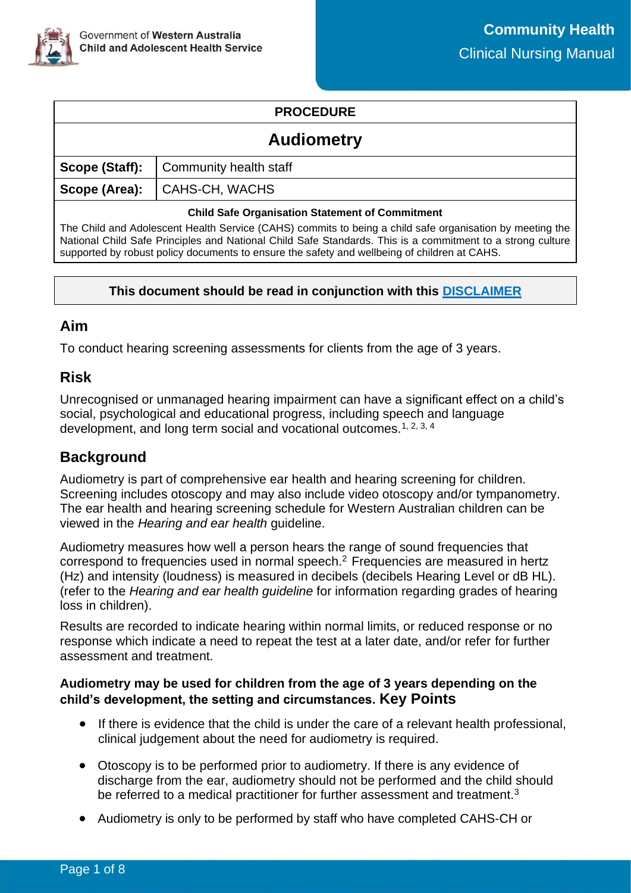

# **PROCEDURE**

| <b>Audiometry</b>                                      |                                                |  |
|--------------------------------------------------------|------------------------------------------------|--|
|                                                        | <b>Scope (Staff):</b>   Community health staff |  |
|                                                        | Scope (Area):   CAHS-CH, WACHS                 |  |
| <b>Child Safe Organisation Statement of Commitment</b> |                                                |  |

The Child and Adolescent Health Service (CAHS) commits to being a child safe organisation by meeting the National Child Safe Principles and National Child Safe Standards. This is a commitment to a strong culture supported by robust policy documents to ensure the safety and wellbeing of children at CAHS.

### **This document should be read in conjunction with this [DISCLAIMER](https://cahs.health.wa.gov.au/For-health-professionals/Resources/CAHS-Clinical-Disclaimer)**

## **Aim**

To conduct hearing screening assessments for clients from the age of 3 years.

# **Risk**

Unrecognised or unmanaged hearing impairment can have a significant effect on a child's social, psychological and educational progress, including speech and language development, and long term social and vocational outcomes.<sup>1, 2, 3, 4</sup>

# **Background**

Audiometry is part of comprehensive ear health and hearing screening for children. Screening includes otoscopy and may also include video otoscopy and/or tympanometry. The ear health and hearing screening schedule for Western Australian children can be viewed in the *Hearing and ear health* guideline.

Audiometry measures how well a person hears the range of sound frequencies that correspond to frequencies used in normal speech.<sup>2</sup> Frequencies are measured in hertz (Hz) and intensity (loudness) is measured in decibels (decibels Hearing Level or dB HL). (refer to the *Hearing and ear health guideline* for information regarding grades of hearing loss in children).

Results are recorded to indicate hearing within normal limits, or reduced response or no response which indicate a need to repeat the test at a later date, and/or refer for further assessment and treatment.

### **Audiometry may be used for children from the age of 3 years depending on the child's development, the setting and circumstances. Key Points**

- If there is evidence that the child is under the care of a relevant health professional, clinical judgement about the need for audiometry is required.
- Otoscopy is to be performed prior to audiometry. If there is any evidence of discharge from the ear, audiometry should not be performed and the child should be referred to a medical practitioner for further assessment and treatment.<sup>3</sup>
- Audiometry is only to be performed by staff who have completed CAHS-CH or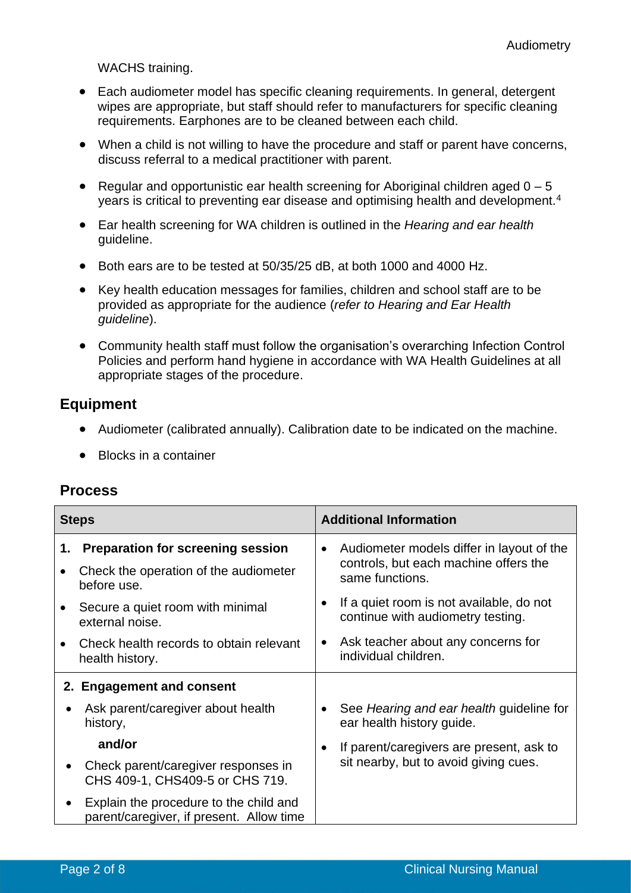WACHS training.

- Each audiometer model has specific cleaning requirements. In general, detergent wipes are appropriate, but staff should refer to manufacturers for specific cleaning requirements. Earphones are to be cleaned between each child.
- When a child is not willing to have the procedure and staff or parent have concerns, discuss referral to a medical practitioner with parent.
- Regular and opportunistic ear health screening for Aboriginal children aged  $0 5$ years is critical to preventing ear disease and optimising health and development.<sup>4</sup>
- Ear health screening for WA children is outlined in the *Hearing and ear health* guideline.
- Both ears are to be tested at 50/35/25 dB, at both 1000 and 4000 Hz.
- Key health education messages for families, children and school staff are to be provided as appropriate for the audience (*refer to Hearing and Ear Health guideline*).
- Community health staff must follow the organisation's overarching Infection Control Policies and perform hand hygiene in accordance with WA Health Guidelines at all appropriate stages of the procedure.

## **Equipment**

- Audiometer (calibrated annually). Calibration date to be indicated on the machine.
- Blocks in a container

| <b>Process</b> |
|----------------|
|----------------|

| <b>Steps</b>                                                                       | <b>Additional Information</b>                                                                                      |  |  |
|------------------------------------------------------------------------------------|--------------------------------------------------------------------------------------------------------------------|--|--|
| <b>Preparation for screening session</b><br>1.                                     | Audiometer models differ in layout of the<br>$\bullet$<br>controls, but each machine offers the<br>same functions. |  |  |
| Check the operation of the audiometer<br>$\bullet$<br>before use.                  |                                                                                                                    |  |  |
| Secure a quiet room with minimal<br>external noise.                                | If a quiet room is not available, do not<br>continue with audiometry testing.                                      |  |  |
| Check health records to obtain relevant<br>health history.                         | Ask teacher about any concerns for<br>$\bullet$<br>individual children.                                            |  |  |
| 2. Engagement and consent                                                          |                                                                                                                    |  |  |
| Ask parent/caregiver about health<br>history,                                      | See Hearing and ear health guideline for<br>ear health history guide.                                              |  |  |
| and/or                                                                             | If parent/caregivers are present, ask to<br>$\bullet$                                                              |  |  |
| Check parent/caregiver responses in<br>CHS 409-1, CHS409-5 or CHS 719.             | sit nearby, but to avoid giving cues.                                                                              |  |  |
| Explain the procedure to the child and<br>parent/caregiver, if present. Allow time |                                                                                                                    |  |  |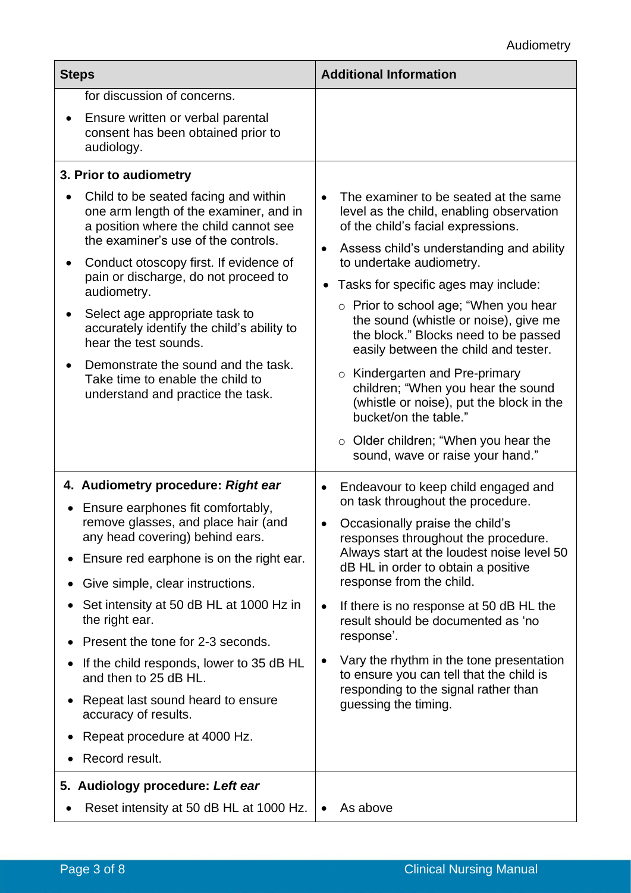| <b>Steps</b>                                                                                                                                                                                                                                                                                                                                                                                                                                                                             | <b>Additional Information</b>                                                                                                                                                                                                                                                                                                                                                                                                                                                                                                                                                                                                                                                               |  |  |
|------------------------------------------------------------------------------------------------------------------------------------------------------------------------------------------------------------------------------------------------------------------------------------------------------------------------------------------------------------------------------------------------------------------------------------------------------------------------------------------|---------------------------------------------------------------------------------------------------------------------------------------------------------------------------------------------------------------------------------------------------------------------------------------------------------------------------------------------------------------------------------------------------------------------------------------------------------------------------------------------------------------------------------------------------------------------------------------------------------------------------------------------------------------------------------------------|--|--|
| for discussion of concerns.                                                                                                                                                                                                                                                                                                                                                                                                                                                              |                                                                                                                                                                                                                                                                                                                                                                                                                                                                                                                                                                                                                                                                                             |  |  |
| Ensure written or verbal parental<br>consent has been obtained prior to<br>audiology.                                                                                                                                                                                                                                                                                                                                                                                                    |                                                                                                                                                                                                                                                                                                                                                                                                                                                                                                                                                                                                                                                                                             |  |  |
| 3. Prior to audiometry                                                                                                                                                                                                                                                                                                                                                                                                                                                                   |                                                                                                                                                                                                                                                                                                                                                                                                                                                                                                                                                                                                                                                                                             |  |  |
| Child to be seated facing and within<br>one arm length of the examiner, and in<br>a position where the child cannot see<br>the examiner's use of the controls.<br>Conduct otoscopy first. If evidence of<br>pain or discharge, do not proceed to<br>audiometry.<br>Select age appropriate task to<br>accurately identify the child's ability to<br>hear the test sounds.<br>Demonstrate the sound and the task.<br>Take time to enable the child to<br>understand and practice the task. | The examiner to be seated at the same<br>$\bullet$<br>level as the child, enabling observation<br>of the child's facial expressions.<br>Assess child's understanding and ability<br>$\bullet$<br>to undertake audiometry.<br>Tasks for specific ages may include:<br>$\bullet$<br>$\circ$ Prior to school age; "When you hear<br>the sound (whistle or noise), give me<br>the block." Blocks need to be passed<br>easily between the child and tester.<br>$\circ$ Kindergarten and Pre-primary<br>children; "When you hear the sound<br>(whistle or noise), put the block in the<br>bucket/on the table."<br>$\circ$ Older children; "When you hear the<br>sound, wave or raise your hand." |  |  |
| 4. Audiometry procedure: Right ear                                                                                                                                                                                                                                                                                                                                                                                                                                                       | Endeavour to keep child engaged and<br>$\bullet$                                                                                                                                                                                                                                                                                                                                                                                                                                                                                                                                                                                                                                            |  |  |
| Ensure earphones fit comfortably,<br>$\bullet$<br>remove glasses, and place hair (and<br>any head covering) behind ears.<br>Ensure red earphone is on the right ear.<br>Give simple, clear instructions.<br>$\bullet$                                                                                                                                                                                                                                                                    | on task throughout the procedure.<br>Occasionally praise the child's<br>responses throughout the procedure.<br>Always start at the loudest noise level 50<br>dB HL in order to obtain a positive<br>response from the child.                                                                                                                                                                                                                                                                                                                                                                                                                                                                |  |  |
| Set intensity at 50 dB HL at 1000 Hz in                                                                                                                                                                                                                                                                                                                                                                                                                                                  | If there is no response at 50 dB HL the<br>$\bullet$                                                                                                                                                                                                                                                                                                                                                                                                                                                                                                                                                                                                                                        |  |  |
| the right ear.                                                                                                                                                                                                                                                                                                                                                                                                                                                                           | result should be documented as 'no<br>response'.                                                                                                                                                                                                                                                                                                                                                                                                                                                                                                                                                                                                                                            |  |  |
| Present the tone for 2-3 seconds.                                                                                                                                                                                                                                                                                                                                                                                                                                                        | $\bullet$                                                                                                                                                                                                                                                                                                                                                                                                                                                                                                                                                                                                                                                                                   |  |  |
| If the child responds, lower to 35 dB HL<br>$\bullet$<br>and then to 25 dB HL.                                                                                                                                                                                                                                                                                                                                                                                                           | Vary the rhythm in the tone presentation<br>to ensure you can tell that the child is<br>responding to the signal rather than                                                                                                                                                                                                                                                                                                                                                                                                                                                                                                                                                                |  |  |
| Repeat last sound heard to ensure<br>$\bullet$<br>accuracy of results.                                                                                                                                                                                                                                                                                                                                                                                                                   | guessing the timing.                                                                                                                                                                                                                                                                                                                                                                                                                                                                                                                                                                                                                                                                        |  |  |
| Repeat procedure at 4000 Hz.<br>$\bullet$                                                                                                                                                                                                                                                                                                                                                                                                                                                |                                                                                                                                                                                                                                                                                                                                                                                                                                                                                                                                                                                                                                                                                             |  |  |
| Record result.                                                                                                                                                                                                                                                                                                                                                                                                                                                                           |                                                                                                                                                                                                                                                                                                                                                                                                                                                                                                                                                                                                                                                                                             |  |  |
| 5. Audiology procedure: Left ear                                                                                                                                                                                                                                                                                                                                                                                                                                                         |                                                                                                                                                                                                                                                                                                                                                                                                                                                                                                                                                                                                                                                                                             |  |  |
| Reset intensity at 50 dB HL at 1000 Hz.                                                                                                                                                                                                                                                                                                                                                                                                                                                  | As above<br>$\bullet$                                                                                                                                                                                                                                                                                                                                                                                                                                                                                                                                                                                                                                                                       |  |  |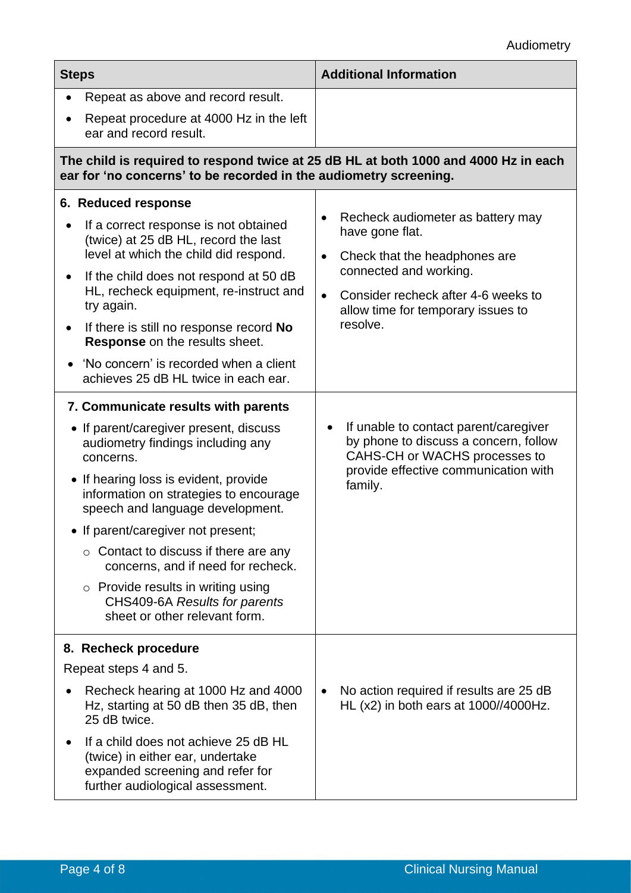| <b>Steps</b>                                                                                                                                                                                                                                                                                                                                                                                                                                                                                    | <b>Additional Information</b>                                                                                                                                                                                                      |  |  |
|-------------------------------------------------------------------------------------------------------------------------------------------------------------------------------------------------------------------------------------------------------------------------------------------------------------------------------------------------------------------------------------------------------------------------------------------------------------------------------------------------|------------------------------------------------------------------------------------------------------------------------------------------------------------------------------------------------------------------------------------|--|--|
| Repeat as above and record result.<br>$\bullet$                                                                                                                                                                                                                                                                                                                                                                                                                                                 |                                                                                                                                                                                                                                    |  |  |
| Repeat procedure at 4000 Hz in the left<br>ear and record result.                                                                                                                                                                                                                                                                                                                                                                                                                               |                                                                                                                                                                                                                                    |  |  |
| The child is required to respond twice at 25 dB HL at both 1000 and 4000 Hz in each<br>ear for 'no concerns' to be recorded in the audiometry screening.                                                                                                                                                                                                                                                                                                                                        |                                                                                                                                                                                                                                    |  |  |
| 6. Reduced response<br>If a correct response is not obtained<br>(twice) at 25 dB HL, record the last<br>level at which the child did respond.<br>If the child does not respond at 50 dB<br>٠<br>HL, recheck equipment, re-instruct and<br>try again.<br>If there is still no response record No<br>٠<br>Response on the results sheet.<br>'No concern' is recorded when a client<br>$\bullet$<br>achieves 25 dB HL twice in each ear.                                                           | Recheck audiometer as battery may<br>have gone flat.<br>Check that the headphones are<br>$\bullet$<br>connected and working.<br>Consider recheck after 4-6 weeks to<br>$\bullet$<br>allow time for temporary issues to<br>resolve. |  |  |
| 7. Communicate results with parents<br>• If parent/caregiver present, discuss<br>audiometry findings including any<br>concerns.<br>• If hearing loss is evident, provide<br>information on strategies to encourage<br>speech and language development.<br>• If parent/caregiver not present;<br>$\circ$ Contact to discuss if there are any<br>concerns, and if need for recheck.<br>$\circ$ Provide results in writing using<br>CHS409-6A Results for parents<br>sheet or other relevant form. | If unable to contact parent/caregiver<br>$\bullet$<br>by phone to discuss a concern, follow<br>CAHS-CH or WACHS processes to<br>provide effective communication with<br>family.                                                    |  |  |
| 8. Recheck procedure<br>Repeat steps 4 and 5.<br>Recheck hearing at 1000 Hz and 4000<br>Hz, starting at 50 dB then 35 dB, then<br>25 dB twice.<br>If a child does not achieve 25 dB HL<br>(twice) in either ear, undertake<br>expanded screening and refer for<br>further audiological assessment.                                                                                                                                                                                              | No action required if results are 25 dB<br>$\bullet$<br>HL $(x2)$ in both ears at $1000$ //4000Hz.                                                                                                                                 |  |  |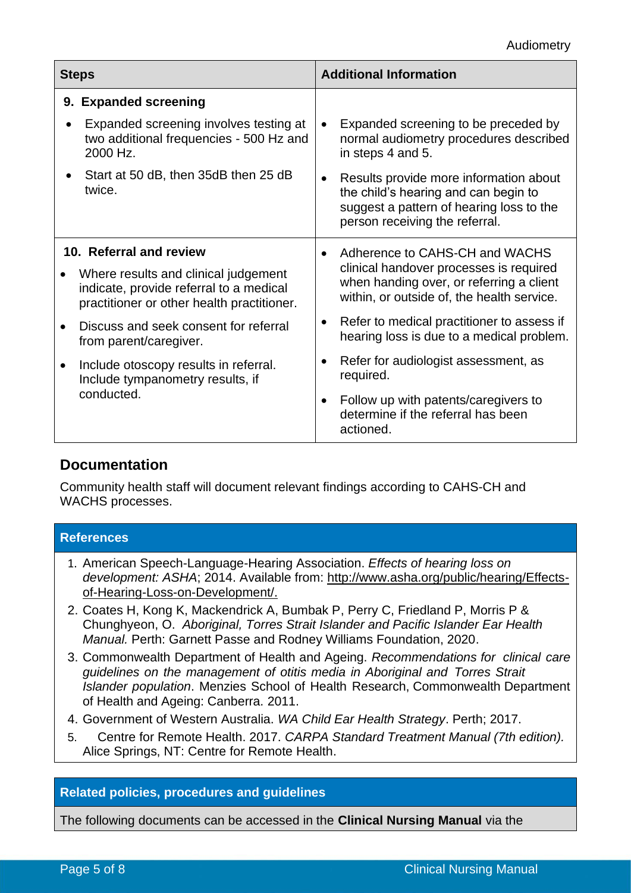| <b>Steps</b>                                                                                                                  | <b>Additional Information</b>                                                                                                                                             |  |  |
|-------------------------------------------------------------------------------------------------------------------------------|---------------------------------------------------------------------------------------------------------------------------------------------------------------------------|--|--|
| 9. Expanded screening                                                                                                         |                                                                                                                                                                           |  |  |
| Expanded screening involves testing at<br>two additional frequencies - 500 Hz and<br>2000 Hz.                                 | Expanded screening to be preceded by<br>$\bullet$<br>normal audiometry procedures described<br>in steps 4 and 5.                                                          |  |  |
| Start at 50 dB, then 35dB then 25 dB<br>twice.                                                                                | Results provide more information about<br>$\bullet$<br>the child's hearing and can begin to<br>suggest a pattern of hearing loss to the<br>person receiving the referral. |  |  |
| 10. Referral and review                                                                                                       | Adherence to CAHS-CH and WACHS<br>$\bullet$                                                                                                                               |  |  |
| Where results and clinical judgement<br>indicate, provide referral to a medical<br>practitioner or other health practitioner. | clinical handover processes is required<br>when handing over, or referring a client<br>within, or outside of, the health service.                                         |  |  |
| Discuss and seek consent for referral<br>from parent/caregiver.                                                               | Refer to medical practitioner to assess if<br>$\bullet$<br>hearing loss is due to a medical problem.                                                                      |  |  |
| Include otoscopy results in referral.<br>Include tympanometry results, if                                                     | Refer for audiologist assessment, as<br>$\bullet$<br>required.                                                                                                            |  |  |
| conducted.                                                                                                                    | Follow up with patents/caregivers to<br>$\bullet$<br>determine if the referral has been<br>actioned.                                                                      |  |  |

## **Documentation**

Community health staff will document relevant findings according to CAHS-CH and WACHS processes.

| <b>References</b>                                                                                                                                                                                                                         |
|-------------------------------------------------------------------------------------------------------------------------------------------------------------------------------------------------------------------------------------------|
| 1. American Speech-Language-Hearing Association. Effects of hearing loss on<br>development: ASHA; 2014. Available from: http://www.asha.org/public/hearing/Effects-<br>of-Hearing-Loss-on-Development/.                                   |
| 2. Coates H, Kong K, Mackendrick A, Bumbak P, Perry C, Friedland P, Morris P &<br>Chunghyeon, O. Aboriginal, Torres Strait Islander and Pacific Islander Ear Health<br>Manual. Perth: Garnett Passe and Rodney Williams Foundation, 2020. |
| 3. Commonwealth Department of Health and Ageing. Recommendations for clinical care<br>quidolines on the management of ofitio modio in Aboriginal and Terros Strait                                                                        |

- *guidelines on the management of otitis media in Aboriginal and Torres Strait Islander population*. Menzies School of Health Research, Commonwealth Department of Health and Ageing: Canberra. 2011.
- 4. Government of Western Australia. *WA Child Ear Health Strategy*. Perth; 2017.
- 5. Centre for Remote Health. 2017. *CARPA Standard Treatment Manual (7th edition).*  Alice Springs, NT: Centre for Remote Health.

### **Related policies, procedures and guidelines**

The following documents can be accessed in the **Clinical Nursing Manual** via the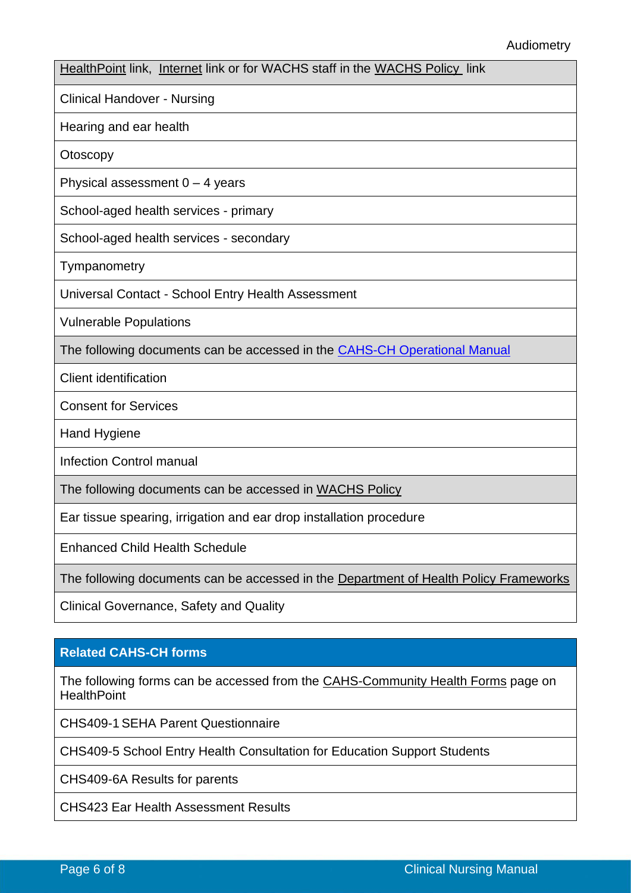#### Audiometry

[HealthPoint](https://healthpoint.hdwa.health.wa.gov.au/policies/Pages/CACH-Community-Health.aspx) link, [Internet](https://ww2.health.wa.gov.au/About-us/Child-and-Adolescent-Health-Service/Child-and-Adolescent-Community-Health/Professional-resources/Community-Health-Clinical-Nursing-Manual) link or for WACHS staff in the [WACHS Policy](https://healthpoint.hdwa.health.wa.gov.au/policies/Pages/WACHS%20Policy%20Pages/WACHS-Policies.aspx) link

Clinical Handover - Nursing

Hearing and ear health

**Otoscopy** 

Physical assessment  $0 - 4$  years

School-aged health services - primary

School-aged health services - secondary

**Tympanometry** 

Universal Contact - [School Entry Health Assessment](http://cahs.hdwa.health.wa.gov.au/__data/assets/pdf_file/0009/137385/4.4.2_School_Entry_Health_Assessment.pdf)

Vulnerable Populations

The following documents can be accessed in the CAHS-CH [Operational Manual](https://healthpoint.hdwa.health.wa.gov.au/policies/Pages/CACH-Operational-Policies.aspx)

Client identification

Consent for Services

Hand Hygiene

Infection Control manual

The following documents can be accessed in [WACHS Policy](https://healthpoint.hdwa.health.wa.gov.au/policies/Pages/WACHS%20Policy%20Pages/WACHS-Policies.aspx) 

Ear tissue spearing, irrigation and ear drop installation procedure

Enhanced Child Health Schedule

The following documents can be accessed in the [Department of Health Policy Frameworks](https://ww2.health.wa.gov.au/About-us/Policy-Frameworks)

Clinical Governance, Safety and Quality

#### **Related CAHS-CH forms**

The following forms can be accessed from the [CAHS-Community Health Forms](https://cahs-healthpoint.hdwa.health.wa.gov.au/cach/forms/Pages/default.aspx) page on **HealthPoint** 

CHS409-1 SEHA Parent Questionnaire

CHS409-5 School Entry Health Consultation for Education Support Students

CHS409-6A Results for parents

CHS423 Ear Health Assessment Results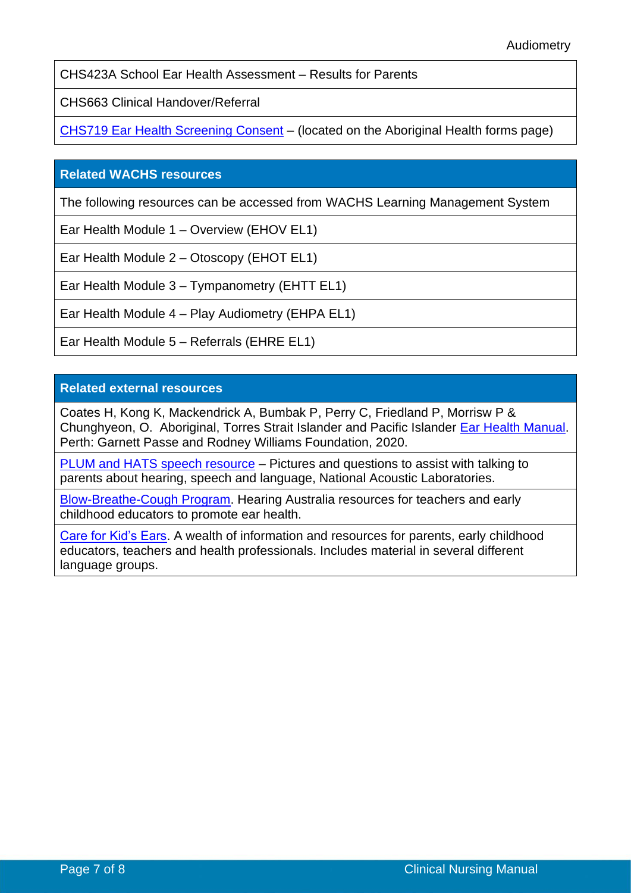CHS423A School Ear Health Assessment – Results for Parents

CHS663 Clinical Handover/Referral

[CHS719 Ear Health Screening Consent](https://cahs-healthpoint.hdwa.health.wa.gov.au/cach/forms/Pages/Aboriginal-Health.aspx) – (located on the Aboriginal Health forms page)

#### **Related WACHS resources**

The following resources can be accessed from WACHS Learning Management System

Ear Health Module 1 – Overview (EHOV EL1)

Ear Health Module 2 – Otoscopy (EHOT EL1)

Ear Health Module 3 – Tympanometry (EHTT EL1)

Ear Health Module 4 – Play Audiometry (EHPA EL1)

Ear Health Module 5 – Referrals (EHRE EL1)

#### **Related external resources**

Coates H, Kong K, Mackendrick A, Bumbak P, Perry C, Friedland P, Morrisw P & Chunghyeon, O. Aboriginal, Torres Strait Islander and Pacific Islander [Ear Health Manual.](https://gprwmf.org.au/wp-content/uploads/2019_Fourth-Edition-of-the-Aboriginal-Torres-Strait-Islander-and-Pacific-Islander-Ear-Health-Manual.pdf) Perth: Garnett Passe and Rodney Williams Foundation, 2020.

[PLUM and HATS speech resource](https://www.hearhappy.nal.gov.au/training-resources) – Pictures and questions to assist with talking to parents about hearing, speech and language, National Acoustic Laboratories.

[Blow-Breathe-Cough Program.](https://www.hearing.com.au/Hearing-loss/Children-young-adults/Blow-Breathe-Cough) Hearing Australia resources for teachers and early childhood educators to promote ear health.

[Care for Kid's Ears.](http://www.careforkidsears.health.gov.au/internet/cfke/publishing.nsf) A wealth of information and resources for parents, early childhood educators, teachers and health professionals. Includes material in several different language groups.